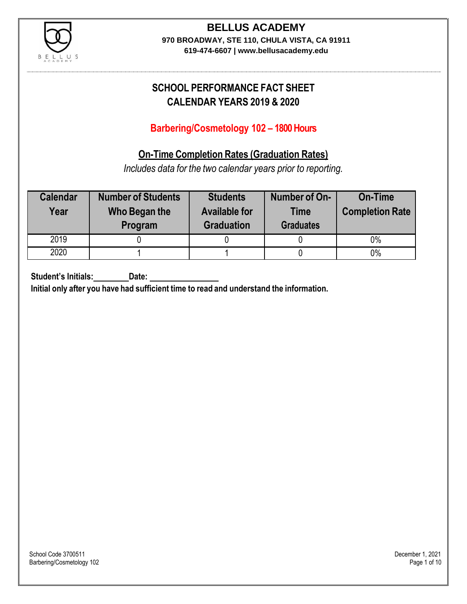

**619-474-6607 | www.bellusacademy.edu**

## **SCHOOL PERFORMANCE FACT SHEET CALENDAR YEARS 2019 & 2020**

### **Barbering/Cosmetology 102 – 1800 Hours**

### **On-Time Completion Rates (Graduation Rates)**

*Includes data for the two calendar years prior to reporting.*

| <b>Calendar</b><br>Year | <b>Number of Students</b><br>Who Began the<br>Program | <b>Students</b><br><b>Available for</b><br><b>Graduation</b> | Number of On-<br><b>Time</b><br><b>Graduates</b> | <b>On-Time</b><br><b>Completion Rate</b> |
|-------------------------|-------------------------------------------------------|--------------------------------------------------------------|--------------------------------------------------|------------------------------------------|
| 2019                    |                                                       |                                                              |                                                  | 0%                                       |
| 2020                    |                                                       |                                                              |                                                  | $0\%$                                    |

**Student's Initials: Date:**

**Initial only after you have had sufficient time to read and understand the information.**

School Code 3700511 December 1, 2021<br>Barbering/Cosmetology 102 Page 1 of 10 Barbering/Cosmetology 102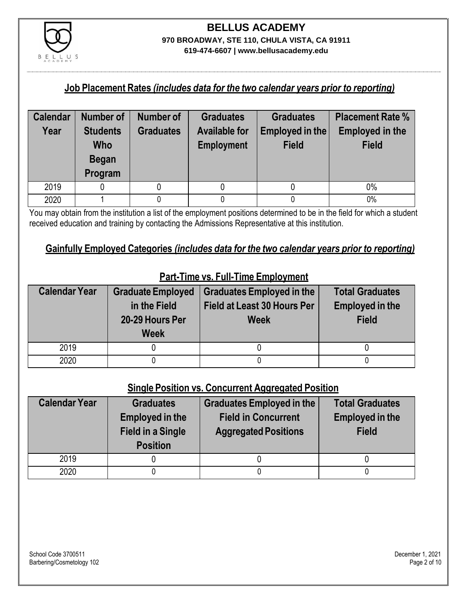

#### **Job Placement Rates** *(includes data for the two calendar years prior to reporting)*

| <b>Calendar</b> | <b>Number of</b>                                  | <b>Number of</b> | <b>Graduates</b>                          | <b>Graduates</b>                | <b>Placement Rate %</b>                |
|-----------------|---------------------------------------------------|------------------|-------------------------------------------|---------------------------------|----------------------------------------|
| Year            | <b>Students</b><br>Who<br><b>Began</b><br>Program | <b>Graduates</b> | <b>Available for</b><br><b>Employment</b> | Employed in the<br><b>Field</b> | <b>Employed in the</b><br><b>Field</b> |
| 2019            |                                                   |                  |                                           |                                 | 0%                                     |
| 2020            |                                                   |                  |                                           |                                 | 0%                                     |

You may obtain from the institution a list of the employment positions determined to be in the field for which a student received education and training by contacting the Admissions Representative at this institution.

#### **Gainfully Employed Categories** *(includes data for the two calendar years prior to reporting)*

| <b>Calendar Year</b> | <b>Graduate Employed</b><br>in the Field<br>20-29 Hours Per<br><b>Week</b> | <b>Graduates Employed in the</b><br>Field at Least 30 Hours Per<br><b>Week</b> | <b>Total Graduates</b><br><b>Employed in the</b><br><b>Field</b> |
|----------------------|----------------------------------------------------------------------------|--------------------------------------------------------------------------------|------------------------------------------------------------------|
| 2019                 |                                                                            |                                                                                |                                                                  |
| 2020                 |                                                                            |                                                                                |                                                                  |

### **Part-Time vs. Full-Time Employment**

### **Single Position vs. Concurrent Aggregated Position**

| <b>Calendar Year</b> | <b>Graduates</b><br><b>Employed in the</b><br><b>Field in a Single</b><br><b>Position</b> | <b>Graduates Employed in the</b><br><b>Field in Concurrent</b><br><b>Aggregated Positions</b> | <b>Total Graduates</b><br><b>Employed in the</b><br><b>Field</b> |
|----------------------|-------------------------------------------------------------------------------------------|-----------------------------------------------------------------------------------------------|------------------------------------------------------------------|
| 2019                 |                                                                                           |                                                                                               |                                                                  |
| 2020                 |                                                                                           |                                                                                               |                                                                  |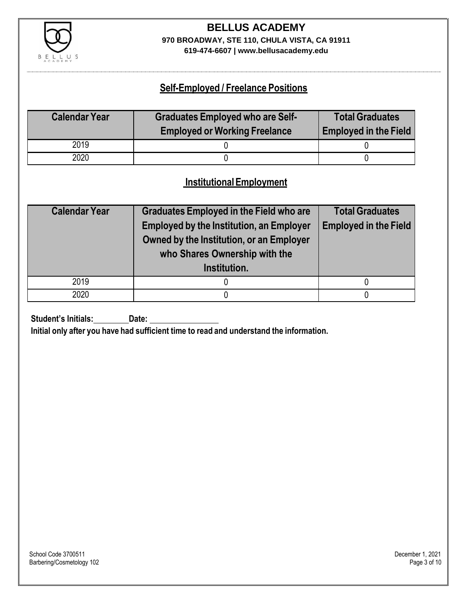

**619-474-6607 | www.bellusacademy.edu**

### **Self-Employed / Freelance Positions**

| <b>Calendar Year</b> | <b>Graduates Employed who are Self-</b> | <b>Total Graduates</b>       |
|----------------------|-----------------------------------------|------------------------------|
|                      | <b>Employed or Working Freelance</b>    | <b>Employed in the Field</b> |
| 2019                 |                                         |                              |
| 2020                 |                                         |                              |

### **InstitutionalEmployment**

| <b>Calendar Year</b> | <b>Graduates Employed in the Field who are</b><br><b>Employed by the Institution, an Employer</b><br>Owned by the Institution, or an Employer<br>who Shares Ownership with the<br>Institution. | <b>Total Graduates</b><br><b>Employed in the Field</b> |
|----------------------|------------------------------------------------------------------------------------------------------------------------------------------------------------------------------------------------|--------------------------------------------------------|
| 2019                 |                                                                                                                                                                                                |                                                        |
| 2020                 |                                                                                                                                                                                                |                                                        |

**Student's Initials:** Date:

**Initial only after you have had sufficient time to read and understand the information.**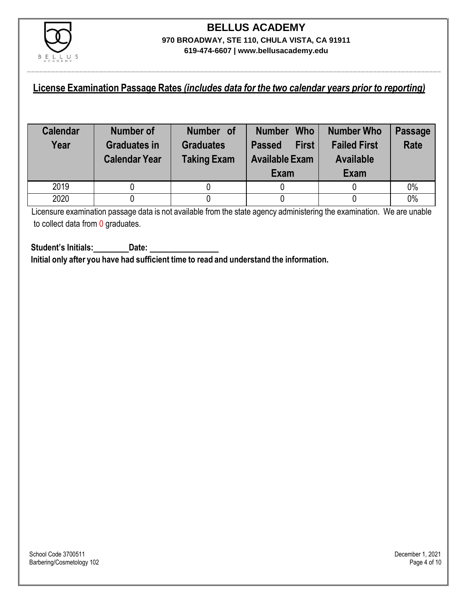

### **License Examination Passage Rates** *(includes data for the two calendar years prior to reporting)*

| <b>Calendar</b><br>Year | <b>Number of</b><br><b>Graduates in</b><br><b>Calendar Year</b> | Number of<br><b>Graduates</b><br><b>Taking Exam</b> | <b>Who</b><br><b>Number</b><br><b>First</b><br><b>Passed</b><br><b>Available Exam</b><br><b>Exam</b> | <b>Number Who</b><br><b>Failed First</b><br><b>Available</b><br><b>Exam</b> | <b>Passage</b><br><b>Rate</b> |
|-------------------------|-----------------------------------------------------------------|-----------------------------------------------------|------------------------------------------------------------------------------------------------------|-----------------------------------------------------------------------------|-------------------------------|
| 2019                    |                                                                 |                                                     |                                                                                                      |                                                                             | 0%                            |
| 2020                    |                                                                 |                                                     |                                                                                                      |                                                                             | 0%                            |

Licensure examination passage data is not available from the state agency administering the examination. We are unable to collect data from 0 graduates.

**Student's Initials: Date: Initial only after you have had sufficient time to read and understand the information.**

School Code 3700511 December 1, 2021<br>Barbering/Cosmetology 102 Page 4 of 10 Barbering/Cosmetology 102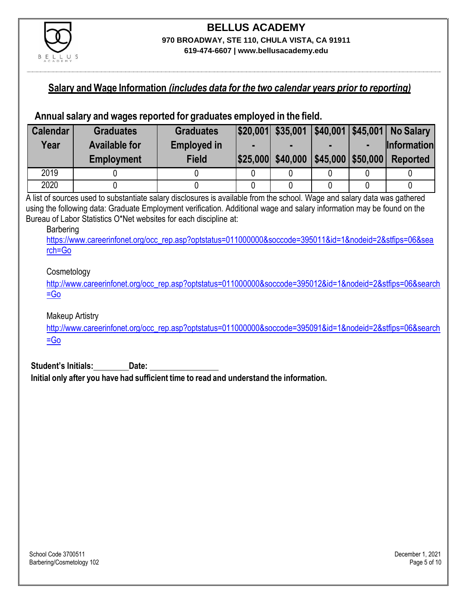

**619-474-6607 | www.bellusacademy.edu**

#### **Salary and Wage Information** *(includes data for the two calendar years prior to reporting)*

### **Annual salary and wages reported for graduates employed in the field.**

| <b>Calendar</b> | <b>Graduates</b>     | <b>Graduates</b>   |                                     |  | $ $20,001$ $$35,001$ $ $40,001$ $ $45,001$ No Salary |
|-----------------|----------------------|--------------------|-------------------------------------|--|------------------------------------------------------|
| Year            | <b>Available for</b> | <b>Employed in</b> |                                     |  | <b>Information</b>                                   |
|                 | <b>Employment</b>    | <b>Field</b>       | \$25,000 \$40,000 \$45,000 \$50,000 |  | <b>Reported</b>                                      |
| 2019            |                      |                    |                                     |  |                                                      |
| 2020            |                      |                    |                                     |  |                                                      |

A list of sources used to substantiate salary disclosures is available from the school. Wage and salary data was gathered using the following data: Graduate Employment verification. Additional wage and salary information may be found on the Bureau of Labor Statistics O\*Net websites for each discipline at:

#### Barbering

[https://www.careerinfonet.org/occ\\_rep.asp?optstatus=011000000&soccode=395011&id=1&nodeid=2&stfips=06&sea](https://www.careerinfonet.org/occ_rep.asp?optstatus=011000000&soccode=395011&id=1&nodeid=2&stfips=06&search=Go) [rch=Go](https://www.careerinfonet.org/occ_rep.asp?optstatus=011000000&soccode=395011&id=1&nodeid=2&stfips=06&search=Go)

#### Cosmetology

[http://www.careerinfonet.org/occ\\_rep.asp?optstatus=011000000&soccode=395012&id=1&nodeid=2&stfips=06&search](http://www.careerinfonet.org/occ_rep.asp?optstatus=011000000&soccode=395012&id=1&nodeid=2&stfips=06&search=Go) [=Go](http://www.careerinfonet.org/occ_rep.asp?optstatus=011000000&soccode=395012&id=1&nodeid=2&stfips=06&search=Go)

Makeup Artistry

[http://www.careerinfonet.org/occ\\_rep.asp?optstatus=011000000&soccode=395091&id=1&nodeid=2&stfips=06&search](http://www.careerinfonet.org/occ_rep.asp?optstatus=011000000&soccode=395091&id=1&nodeid=2&stfips=06&search=Go)  $=$ Go

**Student's Initials: Date:**

**Initial only after you have had sufficient time to read and understand the information.**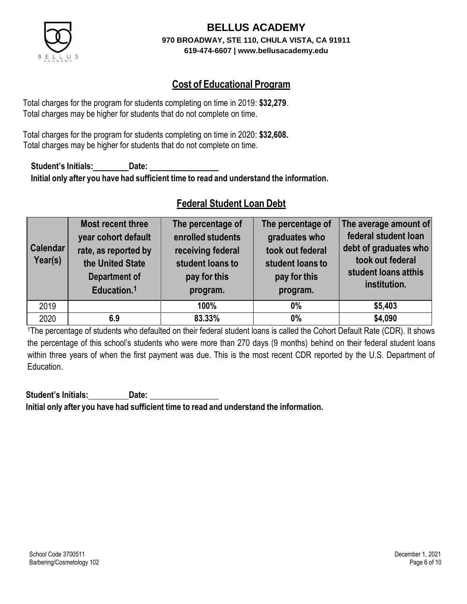

### **Cost of Educational Program**

Total charges for the program for students completing on time in 2019: **\$32,279**. Total charges may be higher for students that do not complete on time.

Total charges for the program for students completing on time in 2020: **\$32,608.** Total charges may be higher for students that do not complete on time.

**Student's Initials: Date: Initial only after you have had sufficient time to read and understand the information.**

### **Federal Student Loan Debt**

| <b>Calendar</b><br>Year(s) | Most recent three<br>year cohort default<br>rate, as reported by<br>the United State<br><b>Department of</b><br>Education. <sup>1</sup> | The percentage of<br>enrolled students<br>receiving federal<br>student loans to<br>pay for this<br>program. | The percentage of<br>graduates who<br>took out federal<br>student loans to<br>pay for this<br>program. | The average amount of<br>federal student loan<br>debt of graduates who<br>took out federal<br>student loans atthis<br>institution. |
|----------------------------|-----------------------------------------------------------------------------------------------------------------------------------------|-------------------------------------------------------------------------------------------------------------|--------------------------------------------------------------------------------------------------------|------------------------------------------------------------------------------------------------------------------------------------|
| 2019                       |                                                                                                                                         | 100%                                                                                                        | $0\%$                                                                                                  | \$5,403                                                                                                                            |
| 2020                       | 6.9                                                                                                                                     | 83.33%                                                                                                      | $0\%$                                                                                                  | \$4,090                                                                                                                            |

<sup>1</sup>The percentage of students who defaulted on their federal student loans is called the Cohort Default Rate (CDR). It shows the percentage of this school's students who were more than 270 days (9 months) behind on their federal student loans within three years of when the first payment was due. This is the most recent CDR reported by the U.S. Department of Education.

**Student's Initials: Date: Initial only after you have had sufficient time to read and understand the information.**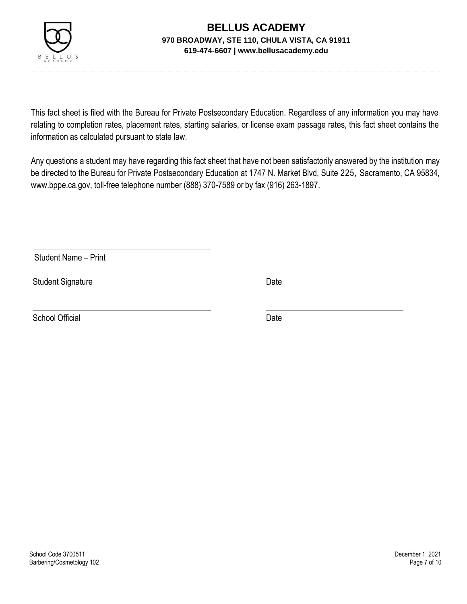

This fact sheet is filed with the Bureau for Private Postsecondary Education. Regardless of any information you may have relating to completion rates, placement rates, starting salaries, or license exam passage rates, this fact sheet contains the information as calculated pursuant to state law.

Any questions a student may have regarding this fact sheet that have not been satisfactorily answered by the institution may be directed to the Bureau for Private Postsecondary Education at 1747 N. Market Blvd, Suite 225, Sacramento, CA 95834, [www.bppe.ca.gov,](http://www.bppe.ca.gov/) toll-free telephone number (888) 370-7589 or by fax (916) 263-1897.

Student Name – Print

Student Signature Date Date

School Official Date Date Date Date Date Date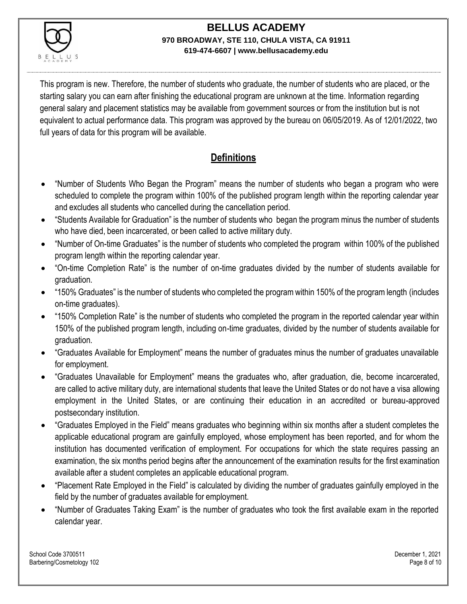

This program is new. Therefore, the number of students who graduate, the number of students who are placed, or the starting salary you can earn after finishing the educational program are unknown at the time. Information regarding general salary and placement statistics may be available from government sources or from the institution but is not equivalent to actual performance data. This program was approved by the bureau on 06/05/2019. As of 12/01/2022, two full years of data for this program will be available.

## **Definitions**

- "Number of Students Who Began the Program" means the number of students who began a program who were scheduled to complete the program within 100% of the published program length within the reporting calendar year and excludes all students who cancelled during the cancellation period.
- "Students Available for Graduation" is the number of students who began the program minus the number of students who have died, been incarcerated, or been called to active military duty.
- "Number of On-time Graduates" is the number of students who completed the program within 100% of the published program length within the reporting calendar year.
- "On-time Completion Rate" is the number of on-time graduates divided by the number of students available for graduation.
- "150% Graduates" is the number of students who completed the program within 150% of the program length (includes on-time graduates).
- "150% Completion Rate" is the number of students who completed the program in the reported calendar year within 150% of the published program length, including on-time graduates, divided by the number of students available for graduation.
- "Graduates Available for Employment" means the number of graduates minus the number of graduates unavailable for employment.
- "Graduates Unavailable for Employment" means the graduates who, after graduation, die, become incarcerated, are called to active military duty, are international students that leave the United States or do not have a visa allowing employment in the United States, or are continuing their education in an accredited or bureau-approved postsecondary institution.
- "Graduates Employed in the Field" means graduates who beginning within six months after a student completes the applicable educational program are gainfully employed, whose employment has been reported, and for whom the institution has documented verification of employment. For occupations for which the state requires passing an examination, the six months period begins after the announcement of the examination results for the first examination available after a student completes an applicable educational program.
- "Placement Rate Employed in the Field" is calculated by dividing the number of graduates gainfully employed in the field by the number of graduates available for employment.
- "Number of Graduates Taking Exam" is the number of graduates who took the first available exam in the reported calendar year.

School Code 3700511 December 1, 2021 Barbering/Cosmetology 102 **Page 8 of 10** Page 8 of 10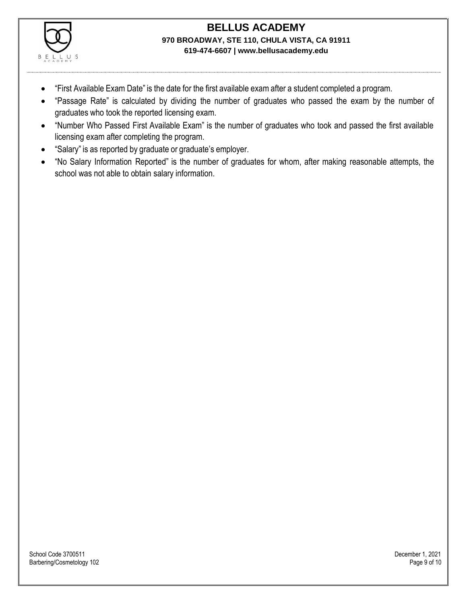

- "First Available Exam Date" is the date for the first available exam after a student completed a program.
- "Passage Rate" is calculated by dividing the number of graduates who passed the exam by the number of graduates who took the reported licensing exam.
- "Number Who Passed First Available Exam" is the number of graduates who took and passed the first available licensing exam after completing the program.
- "Salary" is as reported by graduate or graduate's employer.
- "No Salary Information Reported" is the number of graduates for whom, after making reasonable attempts, the school was not able to obtain salary information.